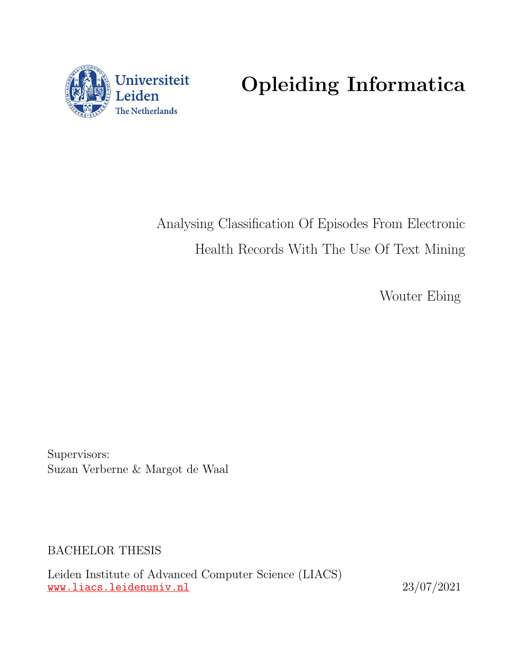

Opleiding Informatica

Analysing Classification Of Episodes From Electronic Health Records With The Use Of Text Mining

Wouter Ebing

Supervisors: Suzan Verberne & Margot de Waal

BACHELOR THESIS

Leiden Institute of Advanced Computer Science (LIACS) <www.liacs.leidenuniv.nl> 23/07/2021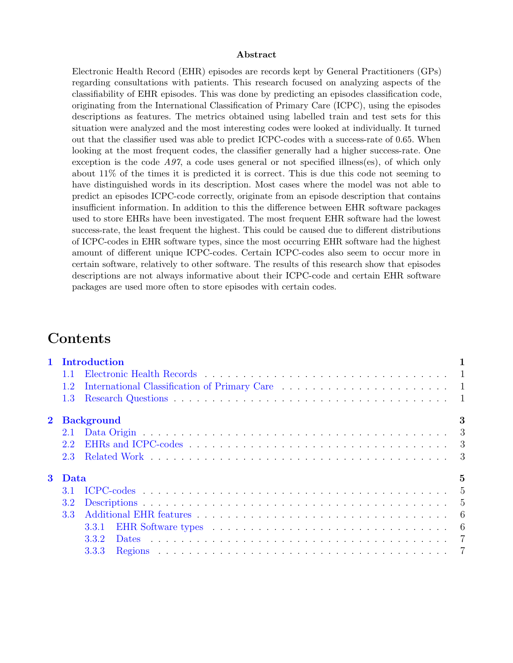#### Abstract

Electronic Health Record (EHR) episodes are records kept by General Practitioners (GPs) regarding consultations with patients. This research focused on analyzing aspects of the classifiability of EHR episodes. This was done by predicting an episodes classification code, originating from the International Classification of Primary Care (ICPC), using the episodes descriptions as features. The metrics obtained using labelled train and test sets for this situation were analyzed and the most interesting codes were looked at individually. It turned out that the classifier used was able to predict ICPC-codes with a success-rate of 0.65. When looking at the most frequent codes, the classifier generally had a higher success-rate. One exception is the code  $A97$ , a code uses general or not specified illness(es), of which only about 11% of the times it is predicted it is correct. This is due this code not seeming to have distinguished words in its description. Most cases where the model was not able to predict an episodes ICPC-code correctly, originate from an episode description that contains insufficient information. In addition to this the difference between EHR software packages used to store EHRs have been investigated. The most frequent EHR software had the lowest success-rate, the least frequent the highest. This could be caused due to different distributions of ICPC-codes in EHR software types, since the most occurring EHR software had the highest amount of different unique ICPC-codes. Certain ICPC-codes also seem to occur more in certain software, relatively to other software. The results of this research show that episodes descriptions are not always informative about their ICPC-code and certain EHR software packages are used more often to store episodes with certain codes.

# Contents

|            |                | 1 Introduction         |  |  |  |  |  |  |  |  |  |  |  |  |
|------------|----------------|------------------------|--|--|--|--|--|--|--|--|--|--|--|--|
|            | 1.1            |                        |  |  |  |  |  |  |  |  |  |  |  |  |
|            | 1.2            |                        |  |  |  |  |  |  |  |  |  |  |  |  |
|            | 1.3            |                        |  |  |  |  |  |  |  |  |  |  |  |  |
| $\bf{2}^-$ |                | 3<br><b>Background</b> |  |  |  |  |  |  |  |  |  |  |  |  |
|            |                |                        |  |  |  |  |  |  |  |  |  |  |  |  |
|            | 2.2            |                        |  |  |  |  |  |  |  |  |  |  |  |  |
|            |                |                        |  |  |  |  |  |  |  |  |  |  |  |  |
|            | 3 Data         | 5                      |  |  |  |  |  |  |  |  |  |  |  |  |
|            | 3.1            |                        |  |  |  |  |  |  |  |  |  |  |  |  |
|            | 3.2            |                        |  |  |  |  |  |  |  |  |  |  |  |  |
|            | 3 <sup>3</sup> |                        |  |  |  |  |  |  |  |  |  |  |  |  |
|            |                | 6<br>3.3.1             |  |  |  |  |  |  |  |  |  |  |  |  |
|            |                | 3.3.2                  |  |  |  |  |  |  |  |  |  |  |  |  |
|            |                | 3.3.3                  |  |  |  |  |  |  |  |  |  |  |  |  |
|            |                |                        |  |  |  |  |  |  |  |  |  |  |  |  |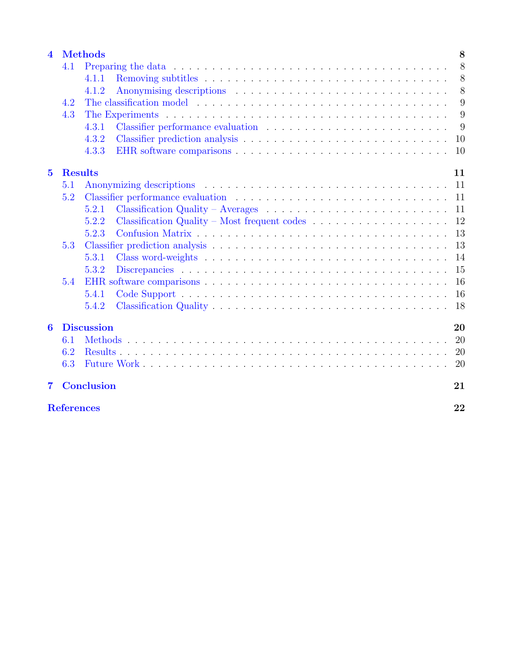| $\overline{\mathbf{4}}$ |                   | <b>Methods</b><br>8                                                                                  |    |  |  |  |  |  |  |  |  |  |  |  |  |
|-------------------------|-------------------|------------------------------------------------------------------------------------------------------|----|--|--|--|--|--|--|--|--|--|--|--|--|
|                         | 4.1               |                                                                                                      | 8  |  |  |  |  |  |  |  |  |  |  |  |  |
|                         |                   | 4.1.1                                                                                                | 8  |  |  |  |  |  |  |  |  |  |  |  |  |
|                         |                   | 4.1.2                                                                                                | 8  |  |  |  |  |  |  |  |  |  |  |  |  |
|                         | 4.2               |                                                                                                      | 9  |  |  |  |  |  |  |  |  |  |  |  |  |
|                         | 4.3               |                                                                                                      | 9  |  |  |  |  |  |  |  |  |  |  |  |  |
|                         |                   | 4.3.1                                                                                                | 9  |  |  |  |  |  |  |  |  |  |  |  |  |
|                         |                   | 4.3.2                                                                                                | 10 |  |  |  |  |  |  |  |  |  |  |  |  |
|                         |                   | 4.3.3                                                                                                | 10 |  |  |  |  |  |  |  |  |  |  |  |  |
| $5\overline{)}$         |                   | <b>Results</b><br>11                                                                                 |    |  |  |  |  |  |  |  |  |  |  |  |  |
|                         | 5.1               |                                                                                                      | 11 |  |  |  |  |  |  |  |  |  |  |  |  |
|                         | 5.2               |                                                                                                      | 11 |  |  |  |  |  |  |  |  |  |  |  |  |
|                         |                   | Classification Quality – Averages $\ldots \ldots \ldots \ldots \ldots \ldots \ldots \ldots$<br>5.2.1 | 11 |  |  |  |  |  |  |  |  |  |  |  |  |
|                         |                   | Classification Quality – Most frequent codes $\ldots \ldots \ldots \ldots \ldots$<br>5.2.2           | 12 |  |  |  |  |  |  |  |  |  |  |  |  |
|                         |                   | 5.2.3                                                                                                | 13 |  |  |  |  |  |  |  |  |  |  |  |  |
|                         | 5.3               |                                                                                                      | 13 |  |  |  |  |  |  |  |  |  |  |  |  |
|                         |                   | 5.3.1                                                                                                | 14 |  |  |  |  |  |  |  |  |  |  |  |  |
|                         |                   | 5.3.2                                                                                                | 15 |  |  |  |  |  |  |  |  |  |  |  |  |
|                         | 5.4               |                                                                                                      | 16 |  |  |  |  |  |  |  |  |  |  |  |  |
|                         |                   | 5.4.1                                                                                                | 16 |  |  |  |  |  |  |  |  |  |  |  |  |
|                         |                   | 5.4.2                                                                                                | 18 |  |  |  |  |  |  |  |  |  |  |  |  |
| 6                       | <b>Discussion</b> |                                                                                                      |    |  |  |  |  |  |  |  |  |  |  |  |  |
|                         | 6.1               |                                                                                                      | 20 |  |  |  |  |  |  |  |  |  |  |  |  |
|                         |                   | <b>20</b>                                                                                            |    |  |  |  |  |  |  |  |  |  |  |  |  |
|                         | 6.3               |                                                                                                      | 20 |  |  |  |  |  |  |  |  |  |  |  |  |
| $\overline{7}$          |                   | <b>Conclusion</b>                                                                                    | 21 |  |  |  |  |  |  |  |  |  |  |  |  |
| <b>References</b>       |                   |                                                                                                      |    |  |  |  |  |  |  |  |  |  |  |  |  |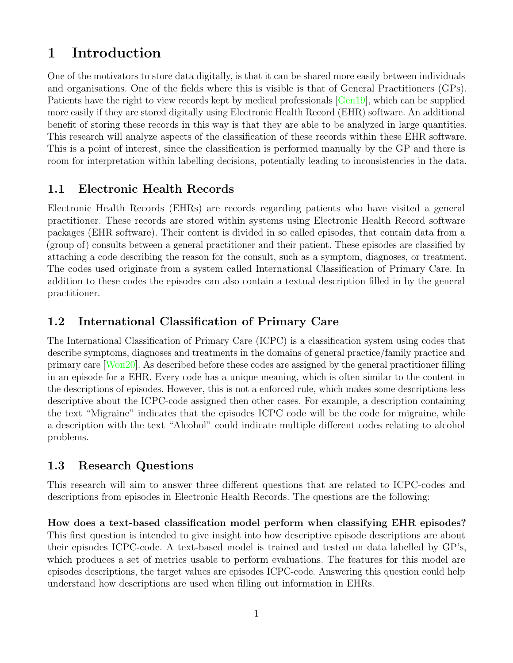# <span id="page-3-0"></span>1 Introduction

One of the motivators to store data digitally, is that it can be shared more easily between individuals and organisations. One of the fields where this is visible is that of General Practitioners (GPs). Patients have the right to view records kept by medical professionals [\[Gen19\]](#page-24-1), which can be supplied more easily if they are stored digitally using Electronic Health Record (EHR) software. An additional benefit of storing these records in this way is that they are able to be analyzed in large quantities. This research will analyze aspects of the classification of these records within these EHR software. This is a point of interest, since the classification is performed manually by the GP and there is room for interpretation within labelling decisions, potentially leading to inconsistencies in the data.

## <span id="page-3-1"></span>1.1 Electronic Health Records

Electronic Health Records (EHRs) are records regarding patients who have visited a general practitioner. These records are stored within systems using Electronic Health Record software packages (EHR software). Their content is divided in so called episodes, that contain data from a (group of) consults between a general practitioner and their patient. These episodes are classified by attaching a code describing the reason for the consult, such as a symptom, diagnoses, or treatment. The codes used originate from a system called International Classification of Primary Care. In addition to these codes the episodes can also contain a textual description filled in by the general practitioner.

## <span id="page-3-2"></span>1.2 International Classification of Primary Care

The International Classification of Primary Care (ICPC) is a classification system using codes that describe symptoms, diagnoses and treatments in the domains of general practice/family practice and primary care [\[Won20\]](#page-24-2). As described before these codes are assigned by the general practitioner filling in an episode for a EHR. Every code has a unique meaning, which is often similar to the content in the descriptions of episodes. However, this is not a enforced rule, which makes some descriptions less descriptive about the ICPC-code assigned then other cases. For example, a description containing the text "Migraine" indicates that the episodes ICPC code will be the code for migraine, while a description with the text "Alcohol" could indicate multiple different codes relating to alcohol problems.

## <span id="page-3-3"></span>1.3 Research Questions

This research will aim to answer three different questions that are related to ICPC-codes and descriptions from episodes in Electronic Health Records. The questions are the following:

How does a text-based classification model perform when classifying EHR episodes? This first question is intended to give insight into how descriptive episode descriptions are about their episodes ICPC-code. A text-based model is trained and tested on data labelled by GP's, which produces a set of metrics usable to perform evaluations. The features for this model are episodes descriptions, the target values are episodes ICPC-code. Answering this question could help understand how descriptions are used when filling out information in EHRs.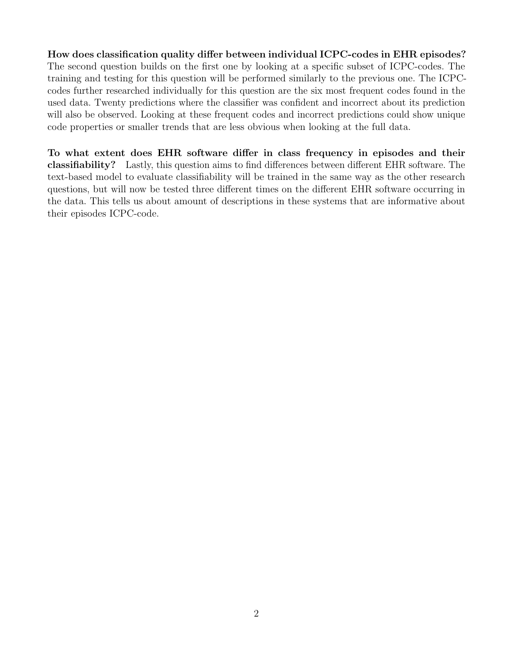How does classification quality differ between individual ICPC-codes in EHR episodes? The second question builds on the first one by looking at a specific subset of ICPC-codes. The training and testing for this question will be performed similarly to the previous one. The ICPCcodes further researched individually for this question are the six most frequent codes found in the used data. Twenty predictions where the classifier was confident and incorrect about its prediction will also be observed. Looking at these frequent codes and incorrect predictions could show unique code properties or smaller trends that are less obvious when looking at the full data.

To what extent does EHR software differ in class frequency in episodes and their classifiability? Lastly, this question aims to find differences between different EHR software. The text-based model to evaluate classifiability will be trained in the same way as the other research questions, but will now be tested three different times on the different EHR software occurring in the data. This tells us about amount of descriptions in these systems that are informative about their episodes ICPC-code.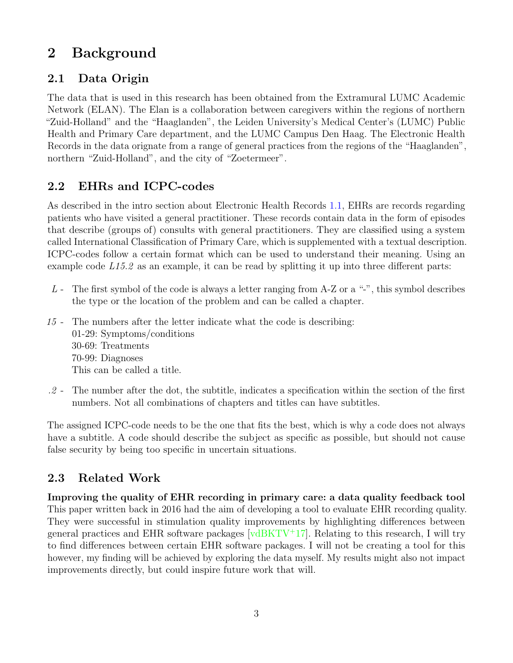# <span id="page-5-0"></span>2 Background

# <span id="page-5-1"></span>2.1 Data Origin

The data that is used in this research has been obtained from the Extramural LUMC Academic Network (ELAN). The Elan is a collaboration between caregivers within the regions of northern "Zuid-Holland" and the "Haaglanden", the Leiden University's Medical Center's (LUMC) Public Health and Primary Care department, and the LUMC Campus Den Haag. The Electronic Health Records in the data orignate from a range of general practices from the regions of the "Haaglanden", northern "Zuid-Holland", and the city of "Zoetermeer".

# <span id="page-5-2"></span>2.2 EHRs and ICPC-codes

As described in the intro section about Electronic Health Records [1.1,](#page-3-1) EHRs are records regarding patients who have visited a general practitioner. These records contain data in the form of episodes that describe (groups of) consults with general practitioners. They are classified using a system called International Classification of Primary Care, which is supplemented with a textual description. ICPC-codes follow a certain format which can be used to understand their meaning. Using an example code  $L15.2$  as an example, it can be read by splitting it up into three different parts:

- L The first symbol of the code is always a letter ranging from A-Z or a "-", this symbol describes the type or the location of the problem and can be called a chapter.
- 15 The numbers after the letter indicate what the code is describing: 01-29: Symptoms/conditions 30-69: Treatments 70-99: Diagnoses This can be called a title.
- .2 The number after the dot, the subtitle, indicates a specification within the section of the first numbers. Not all combinations of chapters and titles can have subtitles.

The assigned ICPC-code needs to be the one that fits the best, which is why a code does not always have a subtitle. A code should describe the subject as specific as possible, but should not cause false security by being too specific in uncertain situations.

## <span id="page-5-3"></span>2.3 Related Work

Improving the quality of EHR recording in primary care: a data quality feedback tool This paper written back in 2016 had the aim of developing a tool to evaluate EHR recording quality. They were successful in stimulation quality improvements by highlighting differences between general practices and EHR software packages  $[\text{vdBKTV}^+17]$ . Relating to this research, I will try to find differences between certain EHR software packages. I will not be creating a tool for this however, my finding will be achieved by exploring the data myself. My results might also not impact improvements directly, but could inspire future work that will.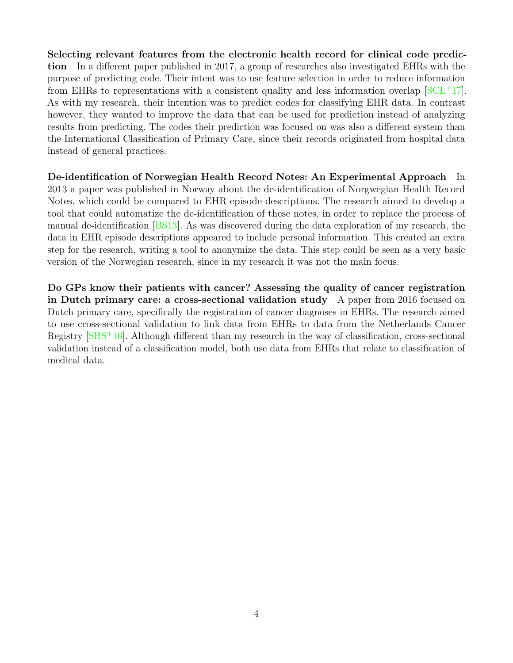Selecting relevant features from the electronic health record for clinical code prediction In a different paper published in 2017, a group of researches also investigated EHRs with the purpose of predicting code. Their intent was to use feature selection in order to reduce information from EHRs to representations with a consistent quality and less information overlap  $\left[SCL^{+17}\right]$  $\left[SCL^{+17}\right]$  $\left[SCL^{+17}\right]$ . As with my research, their intention was to predict codes for classifying EHR data. In contrast however, they wanted to improve the data that can be used for prediction instead of analyzing results from predicting. The codes their prediction was focused on was also a different system than the International Classification of Primary Care, since their records originated from hospital data instead of general practices.

De-identification of Norwegian Health Record Notes: An Experimental Approach In 2013 a paper was published in Norway about the de-identification of Norgwegian Health Record Notes, which could be compared to EHR episode descriptions. The research aimed to develop a tool that could automatize the de-identification of these notes, in order to replace the process of manual de-identification [\[BS13\]](#page-24-5). As was discovered during the data exploration of my research, the data in EHR episode descriptions appeared to include personal information. This created an extra step for the research, writing a tool to anonymize the data. This step could be seen as a very basic version of the Norwegian research, since in my research it was not the main focus.

Do GPs know their patients with cancer? Assessing the quality of cancer registration in Dutch primary care: a cross-sectional validation study A paper from 2016 focused on Dutch primary care, specifically the registration of cancer diagnoses in EHRs. The research aimed to use cross-sectional validation to link data from EHRs to data from the Netherlands Cancer Registry  $[SRS^+16]$  $[SRS^+16]$ . Although different than my research in the way of classification, cross-sectional validation instead of a classification model, both use data from EHRs that relate to classification of medical data.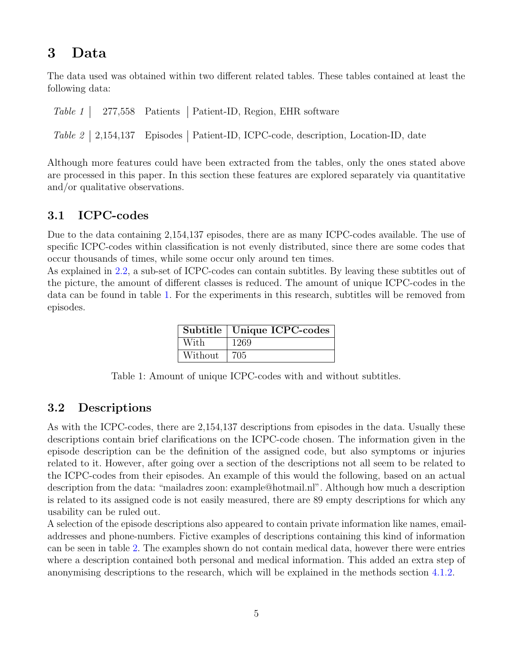# <span id="page-7-0"></span>3 Data

The data used was obtained within two different related tables. These tables contained at least the following data:

|  | Table 1   277,558 Patients   Patient-ID, Region, EHR software                        |
|--|--------------------------------------------------------------------------------------|
|  | Table 2   2,154,137 Episodes   Patient-ID, ICPC-code, description, Location-ID, date |

Although more features could have been extracted from the tables, only the ones stated above are processed in this paper. In this section these features are explored separately via quantitative and/or qualitative observations.

## <span id="page-7-1"></span>3.1 ICPC-codes

Due to the data containing 2,154,137 episodes, there are as many ICPC-codes available. The use of specific ICPC-codes within classification is not evenly distributed, since there are some codes that occur thousands of times, while some occur only around ten times.

<span id="page-7-3"></span>As explained in [2.2,](#page-5-2) a sub-set of ICPC-codes can contain subtitles. By leaving these subtitles out of the picture, the amount of different classes is reduced. The amount of unique ICPC-codes in the data can be found in table [1.](#page-7-3) For the experiments in this research, subtitles will be removed from episodes.

|         | Subtitle   Unique ICPC-codes |
|---------|------------------------------|
| With    | 1269                         |
| Without | 705                          |

Table 1: Amount of unique ICPC-codes with and without subtitles.

### <span id="page-7-2"></span>3.2 Descriptions

As with the ICPC-codes, there are 2,154,137 descriptions from episodes in the data. Usually these descriptions contain brief clarifications on the ICPC-code chosen. The information given in the episode description can be the definition of the assigned code, but also symptoms or injuries related to it. However, after going over a section of the descriptions not all seem to be related to the ICPC-codes from their episodes. An example of this would the following, based on an actual description from the data: "mailadres zoon: example@hotmail.nl". Although how much a description is related to its assigned code is not easily measured, there are 89 empty descriptions for which any usability can be ruled out.

A selection of the episode descriptions also appeared to contain private information like names, emailaddresses and phone-numbers. Fictive examples of descriptions containing this kind of information can be seen in table [2.](#page-8-2) The examples shown do not contain medical data, however there were entries where a description contained both personal and medical information. This added an extra step of anonymising descriptions to the research, which will be explained in the methods section [4.1.2.](#page-10-3)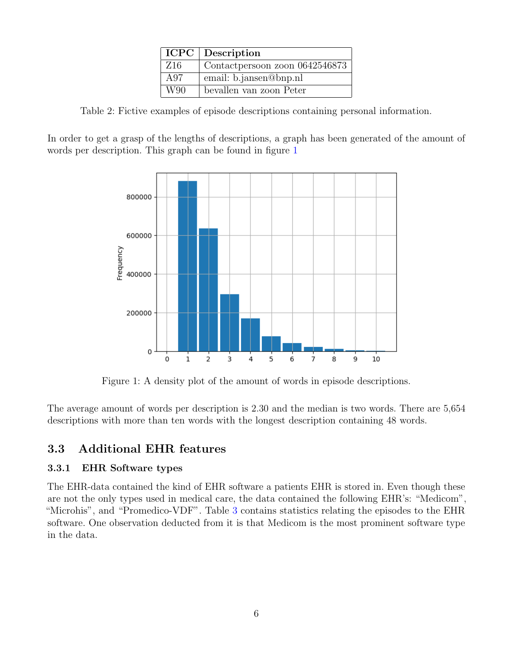|                 | <b>ICPC</b> Description         |
|-----------------|---------------------------------|
| Z <sub>16</sub> | Contact persoon zoon 0642546873 |
| A97             | email: b.jansen@bnp.nl          |
| W90             | bevallen van zoon Peter         |

<span id="page-8-2"></span>Table 2: Fictive examples of episode descriptions containing personal information.

<span id="page-8-3"></span>In order to get a grasp of the lengths of descriptions, a graph has been generated of the amount of words per description. This graph can be found in figure [1](#page-8-3)



Figure 1: A density plot of the amount of words in episode descriptions.

The average amount of words per description is 2.30 and the median is two words. There are 5,654 descriptions with more than ten words with the longest description containing 48 words.

## <span id="page-8-0"></span>3.3 Additional EHR features

#### <span id="page-8-1"></span>3.3.1 EHR Software types

The EHR-data contained the kind of EHR software a patients EHR is stored in. Even though these are not the only types used in medical care, the data contained the following EHR's: "Medicom", "Microhis", and "Promedico-VDF". Table [3](#page-9-2) contains statistics relating the episodes to the EHR software. One observation deducted from it is that Medicom is the most prominent software type in the data.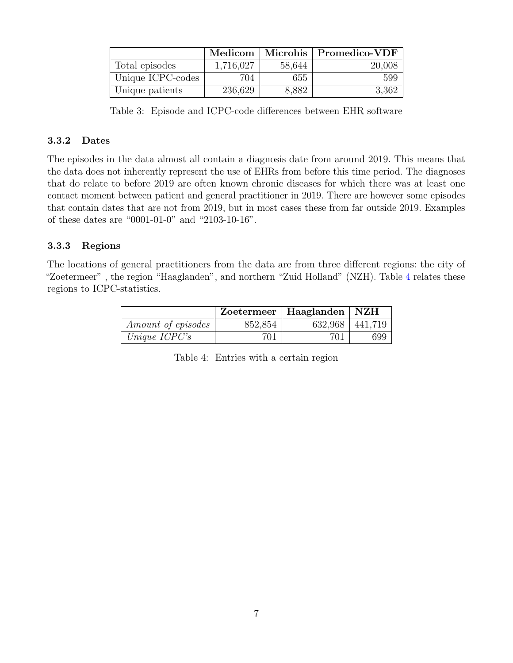<span id="page-9-2"></span>

|                   | Medicom   |        | $\parallel$ Microhis $\parallel$ Promedico-VDF |
|-------------------|-----------|--------|------------------------------------------------|
| Total episodes    | 1,716,027 | 58,644 | 20,008                                         |
| Unique ICPC-codes | 704       | 655    | 599                                            |
| Unique patients   | 236,629   | 8,882  | 3,362                                          |

Table 3: Episode and ICPC-code differences between EHR software

#### <span id="page-9-0"></span>3.3.2 Dates

The episodes in the data almost all contain a diagnosis date from around 2019. This means that the data does not inherently represent the use of EHRs from before this time period. The diagnoses that do relate to before 2019 are often known chronic diseases for which there was at least one contact moment between patient and general practitioner in 2019. There are however some episodes that contain dates that are not from 2019, but in most cases these from far outside 2019. Examples of these dates are "0001-01-0" and "2103-10-16".

#### <span id="page-9-1"></span>3.3.3 Regions

<span id="page-9-3"></span>The locations of general practitioners from the data are from three different regions: the city of "Zoetermeer" , the region "Haaglanden", and northern "Zuid Holland" (NZH). Table [4](#page-9-3) relates these regions to ICPC-statistics.

|                           |         | Zoetermeer   Haaglanden   NZH |     |
|---------------------------|---------|-------------------------------|-----|
| <i>Amount of episodes</i> | 852,854 | $632,968$   441,719           |     |
| Unique $ICPC's$           | 701     | 701                           | 699 |

Table 4: Entries with a certain region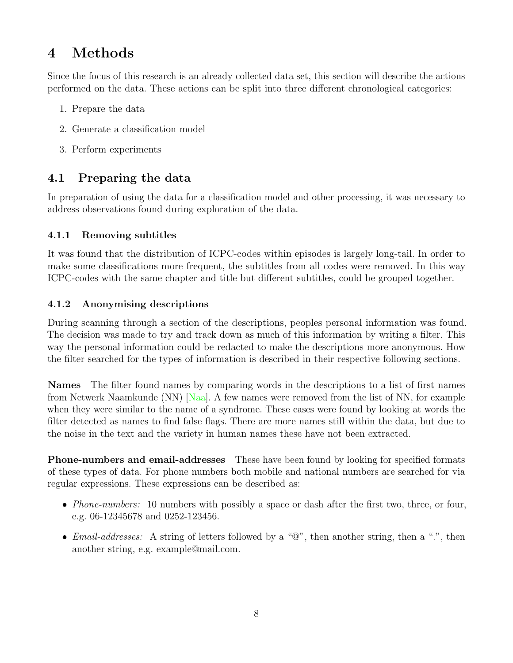# <span id="page-10-0"></span>4 Methods

Since the focus of this research is an already collected data set, this section will describe the actions performed on the data. These actions can be split into three different chronological categories:

- 1. Prepare the data
- 2. Generate a classification model
- 3. Perform experiments

## <span id="page-10-1"></span>4.1 Preparing the data

In preparation of using the data for a classification model and other processing, it was necessary to address observations found during exploration of the data.

### <span id="page-10-2"></span>4.1.1 Removing subtitles

It was found that the distribution of ICPC-codes within episodes is largely long-tail. In order to make some classifications more frequent, the subtitles from all codes were removed. In this way ICPC-codes with the same chapter and title but different subtitles, could be grouped together.

### <span id="page-10-3"></span>4.1.2 Anonymising descriptions

During scanning through a section of the descriptions, peoples personal information was found. The decision was made to try and track down as much of this information by writing a filter. This way the personal information could be redacted to make the descriptions more anonymous. How the filter searched for the types of information is described in their respective following sections.

Names The filter found names by comparing words in the descriptions to a list of first names from Netwerk Naamkunde (NN) [\[Naa\]](#page-24-7). A few names were removed from the list of NN, for example when they were similar to the name of a syndrome. These cases were found by looking at words the filter detected as names to find false flags. There are more names still within the data, but due to the noise in the text and the variety in human names these have not been extracted.

Phone-numbers and email-addresses These have been found by looking for specified formats of these types of data. For phone numbers both mobile and national numbers are searched for via regular expressions. These expressions can be described as:

- *Phone-numbers:* 10 numbers with possibly a space or dash after the first two, three, or four, e.g. 06-12345678 and 0252-123456.
- *Email-addresses:* A string of letters followed by a " $\mathbb{Q}$ ", then another string, then a ".", then another string, e.g. example@mail.com.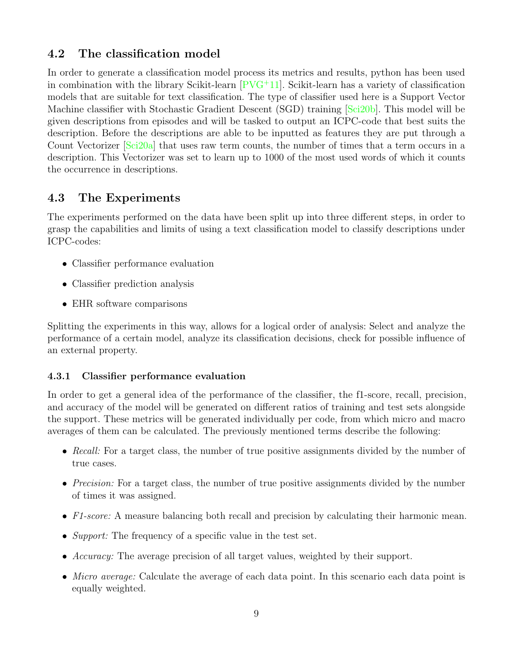## <span id="page-11-0"></span>4.2 The classification model

In order to generate a classification model process its metrics and results, python has been used in combination with the library Scikit-learn  $PVG+11$ . Scikit-learn has a variety of classification models that are suitable for text classification. The type of classifier used here is a Support Vector Machine classifier with Stochastic Gradient Descent (SGD) training [\[Sci20b\]](#page-24-9). This model will be given descriptions from episodes and will be tasked to output an ICPC-code that best suits the description. Before the descriptions are able to be inputted as features they are put through a Count Vectorizer [\[Sci20a\]](#page-24-10) that uses raw term counts, the number of times that a term occurs in a description. This Vectorizer was set to learn up to 1000 of the most used words of which it counts the occurrence in descriptions.

### <span id="page-11-1"></span>4.3 The Experiments

The experiments performed on the data have been split up into three different steps, in order to grasp the capabilities and limits of using a text classification model to classify descriptions under ICPC-codes:

- Classifier performance evaluation
- Classifier prediction analysis
- EHR software comparisons

Splitting the experiments in this way, allows for a logical order of analysis: Select and analyze the performance of a certain model, analyze its classification decisions, check for possible influence of an external property.

#### <span id="page-11-2"></span>4.3.1 Classifier performance evaluation

In order to get a general idea of the performance of the classifier, the f1-score, recall, precision, and accuracy of the model will be generated on different ratios of training and test sets alongside the support. These metrics will be generated individually per code, from which micro and macro averages of them can be calculated. The previously mentioned terms describe the following:

- Recall: For a target class, the number of true positive assignments divided by the number of true cases.
- *Precision:* For a target class, the number of true positive assignments divided by the number of times it was assigned.
- F1-score: A measure balancing both recall and precision by calculating their harmonic mean.
- Support: The frequency of a specific value in the test set.
- Accuracy: The average precision of all target values, weighted by their support.
- Micro average: Calculate the average of each data point. In this scenario each data point is equally weighted.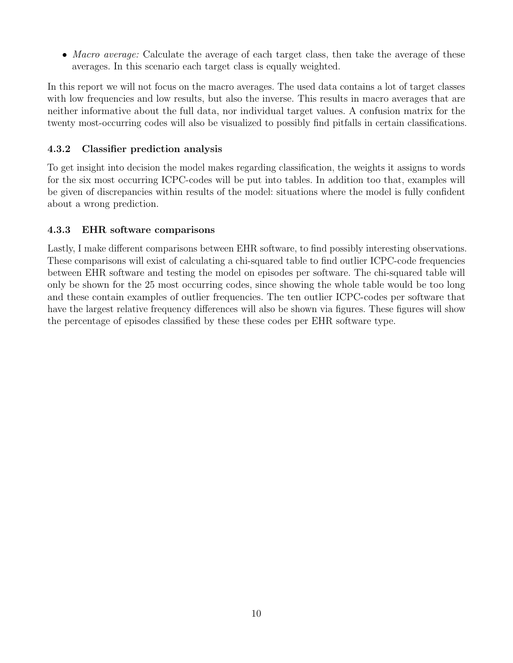• Macro average: Calculate the average of each target class, then take the average of these averages. In this scenario each target class is equally weighted.

In this report we will not focus on the macro averages. The used data contains a lot of target classes with low frequencies and low results, but also the inverse. This results in macro averages that are neither informative about the full data, nor individual target values. A confusion matrix for the twenty most-occurring codes will also be visualized to possibly find pitfalls in certain classifications.

#### <span id="page-12-0"></span>4.3.2 Classifier prediction analysis

To get insight into decision the model makes regarding classification, the weights it assigns to words for the six most occurring ICPC-codes will be put into tables. In addition too that, examples will be given of discrepancies within results of the model: situations where the model is fully confident about a wrong prediction.

### <span id="page-12-1"></span>4.3.3 EHR software comparisons

Lastly, I make different comparisons between EHR software, to find possibly interesting observations. These comparisons will exist of calculating a chi-squared table to find outlier ICPC-code frequencies between EHR software and testing the model on episodes per software. The chi-squared table will only be shown for the 25 most occurring codes, since showing the whole table would be too long and these contain examples of outlier frequencies. The ten outlier ICPC-codes per software that have the largest relative frequency differences will also be shown via figures. These figures will show the percentage of episodes classified by these these codes per EHR software type.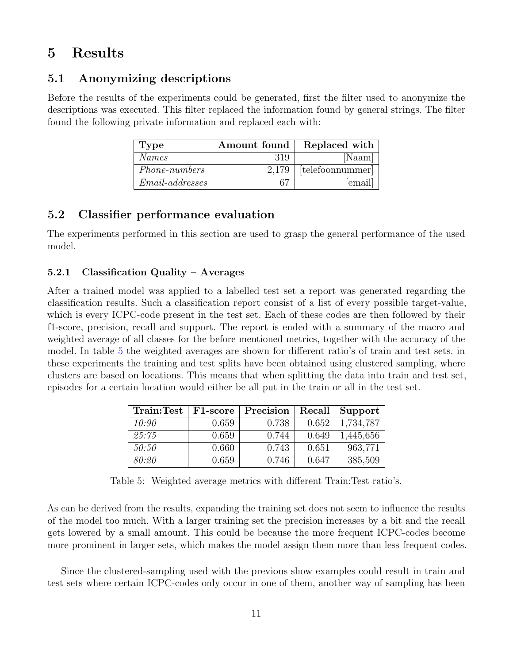# <span id="page-13-0"></span>5 Results

## <span id="page-13-1"></span>5.1 Anonymizing descriptions

Before the results of the experiments could be generated, first the filter used to anonymize the descriptions was executed. This filter replaced the information found by general strings. The filter found the following private information and replaced each with:

| <b>Type</b>          | Amount found | Replaced with    |
|----------------------|--------------|------------------|
| Names                | 319          | [Naam]           |
| <i>Phone-numbers</i> | 2.179        | [telefoonnummer] |
| $Email-addresses$    |              | email            |

## <span id="page-13-2"></span>5.2 Classifier performance evaluation

The experiments performed in this section are used to grasp the general performance of the used model.

### <span id="page-13-3"></span>5.2.1 Classification Quality – Averages

After a trained model was applied to a labelled test set a report was generated regarding the classification results. Such a classification report consist of a list of every possible target-value, which is every ICPC-code present in the test set. Each of these codes are then followed by their f1-score, precision, recall and support. The report is ended with a summary of the macro and weighted average of all classes for the before mentioned metrics, together with the accuracy of the model. In table [5](#page-13-4) the weighted averages are shown for different ratio's of train and test sets. in these experiments the training and test splits have been obtained using clustered sampling, where clusters are based on locations. This means that when splitting the data into train and test set, episodes for a certain location would either be all put in the train or all in the test set.

<span id="page-13-4"></span>

| Train:Test | F1-score | Precision | Recall | Support   |
|------------|----------|-----------|--------|-----------|
| 10:90      | 0.659    | 0.738     | 0.652  | 1,734,787 |
| 25.75      | 0.659    | 0.744     | 0.649  | 1,445,656 |
| 50:50      | 0.660    | 0.743     | 0.651  | 963,771   |
| 80:20      | 0.659    | 0.746     | 0.647  | 385,509   |

Table 5: Weighted average metrics with different Train:Test ratio's.

As can be derived from the results, expanding the training set does not seem to influence the results of the model too much. With a larger training set the precision increases by a bit and the recall gets lowered by a small amount. This could be because the more frequent ICPC-codes become more prominent in larger sets, which makes the model assign them more than less frequent codes.

Since the clustered-sampling used with the previous show examples could result in train and test sets where certain ICPC-codes only occur in one of them, another way of sampling has been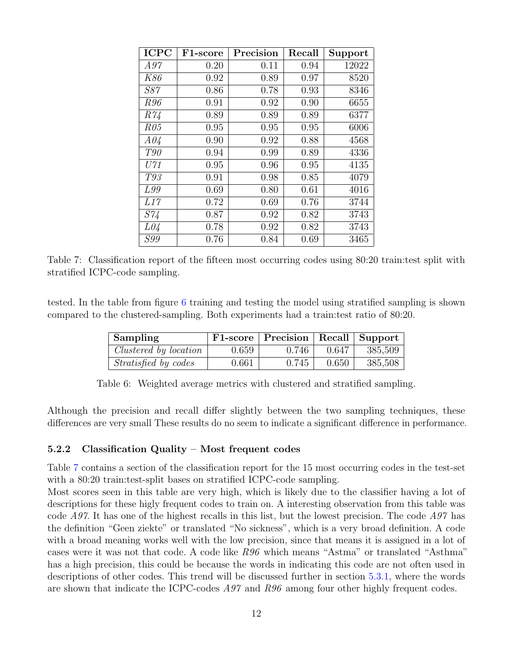<span id="page-14-2"></span>

| <b>ICPC</b> | F1-score | Precision | Recall | Support |
|-------------|----------|-----------|--------|---------|
| A97         | 0.20     | 0.11      | 0.94   | 12022   |
| <i>K86</i>  | 0.92     | 0.89      | 0.97   | 8520    |
| <i>S87</i>  | 0.86     | 0.78      | 0.93   | 8346    |
| <i>R96</i>  | 0.91     | 0.92      | 0.90   | 6655    |
| R74         | 0.89     | 0.89      | 0.89   | 6377    |
| R05         | 0.95     | 0.95      | 0.95   | 6006    |
| A04         | 0.90     | 0.92      | 0.88   | 4568    |
| <i>T90</i>  | 0.94     | 0.99      | 0.89   | 4336    |
| U71         | 0.95     | 0.96      | 0.95   | 4135    |
| T93         | 0.91     | 0.98      | 0.85   | 4079    |
| L99         | 0.69     | 0.80      | 0.61   | 4016    |
| L17         | 0.72     | 0.69      | 0.76   | 3744    |
| <i>S74</i>  | 0.87     | 0.92      | 0.82   | 3743    |
| L04         | 0.78     | 0.92      | 0.82   | 3743    |
| <i>S99</i>  | 0.76     | 0.84      | 0.69   | 3465    |

Table 7: Classification report of the fifteen most occurring codes using 80:20 train:test split with stratified ICPC-code sampling.

<span id="page-14-1"></span>tested. In the table from figure [6](#page-14-1) training and testing the model using stratified sampling is shown compared to the clustered-sampling. Both experiments had a train:test ratio of 80:20.

| Sampling                    |       | F1-score   Precision   Recall   Support |       |         |
|-----------------------------|-------|-----------------------------------------|-------|---------|
| Clustered by location       | 0.659 | 0.746                                   | 0.647 | 385,509 |
| <i>Stratisfied by codes</i> | 0.661 | 0.745                                   | 0.650 | 385,508 |

Table 6: Weighted average metrics with clustered and stratified sampling.

Although the precision and recall differ slightly between the two sampling techniques, these differences are very small These results do no seem to indicate a significant difference in performance.

#### <span id="page-14-0"></span>5.2.2 Classification Quality – Most frequent codes

Table [7](#page-14-2) contains a section of the classification report for the 15 most occurring codes in the test-set with a 80:20 train: test-split bases on stratified ICPC-code sampling.

Most scores seen in this table are very high, which is likely due to the classifier having a lot of descriptions for these higly frequent codes to train on. A interesting observation from this table was code A97. It has one of the highest recalls in this list, but the lowest precision. The code  $A97$  has the definition "Geen ziekte" or translated "No sickness", which is a very broad definition. A code with a broad meaning works well with the low precision, since that means it is assigned in a lot of cases were it was not that code. A code like R96 which means "Astma" or translated "Asthma" has a high precision, this could be because the words in indicating this code are not often used in descriptions of other codes. This trend will be discussed further in section [5.3.1,](#page-16-0) where the words are shown that indicate the ICPC-codes  $A97$  and  $R96$  among four other highly frequent codes.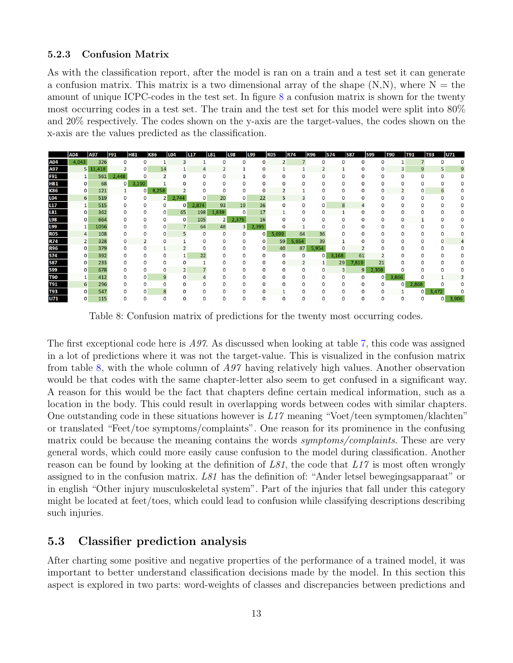#### <span id="page-15-0"></span>5.2.3 Confusion Matrix

As with the classification report, after the model is ran on a train and a test set it can generate a confusion matrix. This matrix is a two dimensional array of the shape  $(N, N)$ , where  $N =$  the amount of unique ICPC-codes in the test set. In figure [8](#page-15-2) a confusion matrix is shown for the twenty most occurring codes in a test set. The train and the test set for this model were split into 80% and 20% respectively. The codes shown on the y-axis are the target-values, the codes shown on the x-axis are the values predicted as the classification.

<span id="page-15-2"></span>

|                 | A04            | A97      | <b>F91</b> | H81   | K86   | L04          | <b>L17</b> | L81            | <b>L98</b>     | L99          | <b>R05</b> | <b>R74</b>     | <b>R96</b>  | <b>S74</b> | <b>S87</b>   | <b>S99</b> | <b>T90</b>   | <b>T91</b>     | <b>T93</b> | U71   |
|-----------------|----------------|----------|------------|-------|-------|--------------|------------|----------------|----------------|--------------|------------|----------------|-------------|------------|--------------|------------|--------------|----------------|------------|-------|
| A04             | 4,043          | 326      |            | 0     |       | 3            |            |                |                | 0            |            |                |             |            | <sup>0</sup> | O          |              |                |            |       |
| A97             |                | 5 11,418 |            | 0     | 14    | 1            | 4          |                |                | 0            |            |                | 2           |            | 0            | 0          | 3            | 9              | 5          |       |
| <b>F91</b>      |                | 561      | 2,448      | O     |       | 0            | O          | 0              |                | $\Omega$     | $\Omega$   | O              | O           | o          | 0            | O          | $\mathbf{0}$ | 0              | $\Omega$   |       |
| <b>H81</b>      | 0              | 68       | 0          | 3,190 |       |              |            | O              | O              | 0            | O          |                |             | O          | 0            | O          | O            | 0              |            |       |
| <b>K86</b>      | 0              | 121      |            | 0     | 8,258 |              |            |                | 0              | $\Omega$     |            |                |             | 0          | 0            | 0          |              | 0              | ь          |       |
| L04             | 6              | 519      | 0          | 0     |       | 2,744<br>ا 2 |            | 20             | 0              | 22           | 5          |                | 0           | 0          | O            | 0          | O            | 0              | n          |       |
| L <sub>17</sub> | 1              | 515      |            | 0     | 0     | 0            | 2,874      | 93             | 19             | 36           | 0          |                | 0           | 8          | 4            | 0          | n            | O              |            |       |
| L81             | 0              | 362      |            | 0     | 0     | 65           | 198        | 1,839          | 0              | 17           |            |                | 0           |            | $\Omega$     | n          |              |                |            |       |
| <b>L98</b>      | 0              | 664      |            | o     | 0     | 0            | 105        | $\overline{2}$ | 2,375          | 16           |            |                |             | O          | O            | n          | n            |                |            |       |
| L99             | 1              | 1056     |            | 0     | 0     | 7            | 64         | 48             | 3 <sup>1</sup> | 2,395        |            |                |             | 0          | 0            | 0          | n            |                |            |       |
| <b>R05</b>      | 4              | 108      |            | O     | 0     | 5            | 0          | $\Omega$       | 0              | $\mathbf{0}$ | 5,699      | 64             | 36          | n          | $\Omega$     | n          |              | n              |            |       |
| <b>R74</b>      | $\overline{2}$ | 328      | 0          |       |       | o            | O          |                | 0              | 0            | 59         | 5,654          | 39          |            | O            |            |              |                |            |       |
| <b>R96</b>      | 0              | 379      |            | 0     |       |              | 0          |                | 0              | 0            | 40         | 87             | 5,954       |            |              | n          |              | n              |            |       |
| <b>S74</b>      | 0              | 392      |            | 0     |       | 1<br>0       | 22         | 0              | 0              | 0            | 0          | 0              | $\mathbf 0$ | 3,168      | 61           |            |              | n              |            |       |
| <b>S87</b>      | 0              | 233      |            | n     | 0     | 0            |            | n              | 0              | 0            | 0          | $\overline{2}$ |             | 29         | 7,819        | 21         |              | O              |            |       |
| <b>S99</b>      | 0              | 678      |            | 0     | 0     | 2            |            |                | 0              | 0            | $\Omega$   | 0              | 0           | 3          | 9            | 2,308      |              |                |            |       |
| <b>T90</b>      | 1              | 412      |            | O     |       | 9<br>0       |            | O              | O              | o            | O          | O              | O           | $\Omega$   | $\Omega$     | 0          | 3,866        |                |            |       |
| <b>T91</b>      | 6              | 296      |            | 0     |       | 0<br>0       | n          | 0              | 0              | 0            | n          |                | 0           | 0          | 0            | 0          | 0            | 2,868          |            |       |
| <b>T93</b>      | 0              | 547      |            | O     |       | 8<br>0       |            |                | Ω              | 0            |            |                |             | 0          | 0            | 0          |              | $\overline{0}$ | 3,472      |       |
| U71             |                | 115      |            | n     |       | o<br>0       |            |                | Ω              |              |            |                |             |            | O            | n          | O            |                | O          | 3,906 |

Table 8: Confusion matrix of predictions for the twenty most occurring codes.

The first exceptional code here is A97. As discussed when looking at table [7,](#page-14-2) this code was assigned in a lot of predictions where it was not the target-value. This is visualized in the confusion matrix from table [8,](#page-15-2) with the whole column of A97 having relatively high values. Another observation would be that codes with the same chapter-letter also seem to get confused in a significant way. A reason for this would be the fact that chapters define certain medical information, such as a location in the body. This could result in overlapping words between codes with similar chapters. One outstanding code in these situations however is  $L17$  meaning "Voet/teen symptomen/klachten" or translated "Feet/toe symptoms/complaints". One reason for its prominence in the confusing matrix could be because the meaning contains the words *symptoms/complaints*. These are very general words, which could more easily cause confusion to the model during classification. Another reason can be found by looking at the definition of  $L81$ , the code that  $L17$  is most often wrongly assigned to in the confusion matrix. L81 has the definition of: "Ander letsel bewegingsapparaat" or in english "Other injury musculoskeletal system". Part of the injuries that fall under this category might be located at feet/toes, which could lead to confusion while classifying descriptions describing such injuries.

#### <span id="page-15-1"></span>5.3 Classifier prediction analysis

After charting some positive and negative properties of the performance of a trained model, it was important to better understand classification decisions made by the model. In this section this aspect is explored in two parts: word-weights of classes and discrepancies between predictions and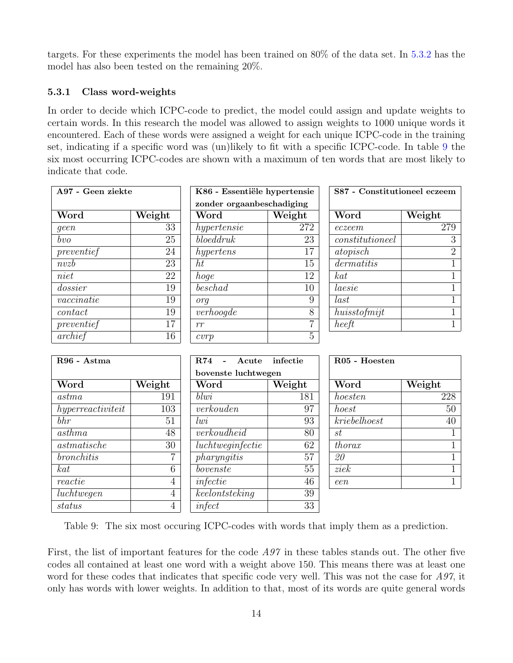targets. For these experiments the model has been trained on 80% of the data set. In [5.3.2](#page-17-0) has the model has also been tested on the remaining 20%.

#### <span id="page-16-0"></span>5.3.1 Class word-weights

In order to decide which ICPC-code to predict, the model could assign and update weights to certain words. In this research the model was allowed to assign weights to 1000 unique words it encountered. Each of these words were assigned a weight for each unique ICPC-code in the training set, indicating if a specific word was (un)likely to fit with a specific ICPC-code. In table [9](#page-16-1) the six most occurring ICPC-codes are shown with a maximum of ten words that are most likely to indicate that code.

<span id="page-16-1"></span>

| A97 - Geen ziekte        |                  | K86 - Essentiële hypertensie    |                 | S87 - Constitutioneel eczeem |                            |
|--------------------------|------------------|---------------------------------|-----------------|------------------------------|----------------------------|
|                          |                  | zonder orgaanbeschadiging       |                 |                              |                            |
| Word                     | Weight           | Word                            | Weight          | Word                         | Weight                     |
| geen                     | 33               | hypertensie                     | 272             | eczeem                       | 279                        |
| $\overline{bvo}$         | 25               | block                           | 23              | constitutioneel              | $\overline{3}$             |
| preventief               | 24               | hypertens                       | 17              | atopisch                     | $\overline{2}$             |
| n v z b                  | 23               | ht                              | $\overline{15}$ | dermatitis                   | $\mathbf 1$                |
| niet                     | 22               | hoge                            | 12              | $k$ at                       | 1                          |
| dossier                  | 19               | $\overline{b}\overline{esch}ad$ | 10              | laesie                       | 1                          |
| $\emph{vaccinatie}$      | 19               | org                             | 9               | last                         | $\mathbf 1$                |
| contact                  | 19               | verho ogde                      | 8               | huisstofmijt                 | $\mathbf{1}$               |
| preventief               | 17               | rr                              | $\overline{7}$  | heeft                        | $\overline{1}$             |
| archief                  | $\overline{16}$  | cvrp                            | $\overline{5}$  |                              |                            |
|                          |                  |                                 |                 |                              |                            |
| R96 - Astma              |                  | R74<br>Acute                    | infectie        | R05 - Hoesten                |                            |
|                          |                  | bovenste luchtwegen             |                 |                              |                            |
| $\overline{\text{Word}}$ | Weight           | Word                            | Weight          | Word                         | $\overline{\text{Weight}}$ |
| astma                    | 191              | blwi                            | 181             | hoesten                      | 228                        |
| hyperreactiviteit        | $\overline{103}$ | $\overline{verkouden}$          | $\overline{97}$ | hoest                        | 50                         |
| $\overline{b}$           | 51               | $\overline{lw}$                 | 93              | kriebelhoest                 | 40                         |
| asthma                   | 48               | verkoudheid                     | 80              | st                           | 1                          |
| $a$ stmatische           | 30               | lucht weightetic                | 62              | thorax                       | $\mathbf{1}$               |
| bronchitis               | 7                | pharyngitis                     | 57              | 20                           | 1                          |
| $k$ at                   | $\overline{6}$   | bovenste                        | 55              | ziek                         | 1                          |
| reactie                  | $\overline{4}$   | infectie                        | $46\,$          | een                          | $\mathbf{1}$               |
| $\overline{luchtwegen}$  | $\overline{4}$   | keelontsteking                  | $39\,$          |                              |                            |
| status                   | $\overline{4}$   | infect                          | 33              |                              |                            |

Table 9: The six most occuring ICPC-codes with words that imply them as a prediction.

First, the list of important features for the code A97 in these tables stands out. The other five codes all contained at least one word with a weight above 150. This means there was at least one word for these codes that indicates that specific code very well. This was not the case for A97, it only has words with lower weights. In addition to that, most of its words are quite general words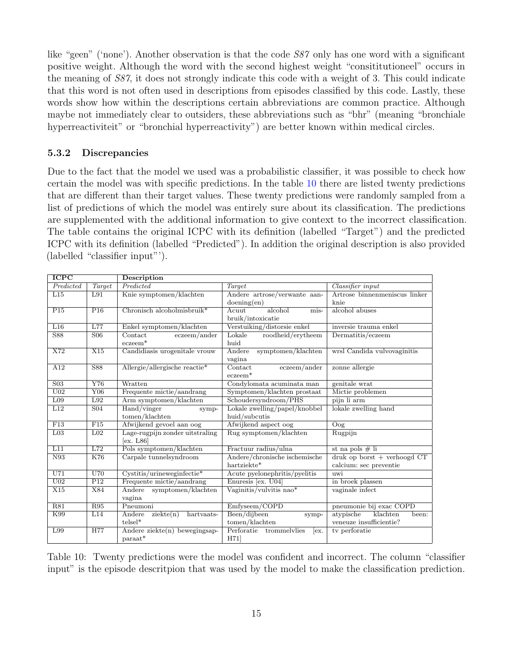like "geen" ('none'). Another observation is that the code S87 only has one word with a significant positive weight. Although the word with the second highest weight "consititutioneel" occurs in the meaning of S87, it does not strongly indicate this code with a weight of 3. This could indicate that this word is not often used in descriptions from episodes classified by this code. Lastly, these words show how within the descriptions certain abbreviations are common practice. Although maybe not immediately clear to outsiders, these abbreviations such as "bhr" (meaning "bronchiale hyperreactiviteit" or "bronchial hyperreactivity") are better known within medical circles.

#### <span id="page-17-0"></span>5.3.2 Discrepancies

Due to the fact that the model we used was a probabilistic classifier, it was possible to check how certain the model was with specific predictions. In the table [10](#page-17-1) there are listed twenty predictions that are different than their target values. These twenty predictions were randomly sampled from a list of predictions of which the model was entirely sure about its classification. The predictions are supplemented with the additional information to give context to the incorrect classification. The table contains the original ICPC with its definition (labelled "Target") and the predicted ICPC with its definition (labelled "Predicted"). In addition the original description is also provided (labelled "classifier input"').

<span id="page-17-1"></span>

| <b>ICPC</b>               |                         | Description                       |                                             |                                   |  |  |
|---------------------------|-------------------------|-----------------------------------|---------------------------------------------|-----------------------------------|--|--|
| Predicted                 | Target                  | Predicted                         | Target                                      | Classifier input                  |  |  |
| L15                       | L91                     | Knie symptomen/klachten           | Andere artrose/verwante aan-                | Artrose binnenmeniscus linker     |  |  |
|                           |                         |                                   | doening(en)                                 | knie                              |  |  |
| P15                       | P <sub>16</sub>         | Chronisch alcoholmisbruik*        | alcohol<br>Acuut<br>mis-                    | alcohol abuses                    |  |  |
|                           |                         |                                   | bruik/intoxicatie                           |                                   |  |  |
| L16                       | L77                     | Enkel symptomen/klachten          | Verstuiking/distorsie enkel                 | inversie trauma enkel             |  |  |
| <b>S88</b>                | S <sub>06</sub>         | Contact<br>eczeem/ander           | Lokale<br>roodheid/erytheem                 | Dermatitis/eczeem                 |  |  |
|                           |                         | $eczeem*$                         | huid                                        |                                   |  |  |
| X72                       | X15                     | Candidiasis urogenitale vrouw     | Andere<br>symptomen/klachten                | wrsl Candida vulvovaginitis       |  |  |
|                           |                         |                                   | vagina                                      |                                   |  |  |
| A12                       | S88                     | Allergie/allergische reactie*     | $\overline{\text{Context}}$<br>eczeem/ander | zonne allergie                    |  |  |
|                           |                         |                                   | $eczeem*$                                   |                                   |  |  |
| S <sub>03</sub>           | $\overline{\text{Y76}}$ | Wratten                           | Condylomata acuminata man                   | genitale wrat                     |  |  |
| U <sub>02</sub>           | Y06                     | Frequente mictie/aandrang         | Symptomen/klachten prostaat                 | Mictie problemen                  |  |  |
| L <sub>09</sub>           | L92                     | Arm symptomen/klachten            | Schoudersyndroom/PHS                        | pijn li arm                       |  |  |
| L12                       | S <sub>04</sub>         | Hand/vinger<br>symp-              | Lokale zwelling/papel/knobbel               | lokale zwelling hand              |  |  |
|                           |                         | tomen/klachten                    | huid/subcutis                               |                                   |  |  |
| F13                       | F15                     | Afwijkend gevoel aan oog          | Afwijkend aspect oog                        | Oog                               |  |  |
| L <sub>03</sub>           | L <sub>02</sub>         | Lage-rugpijn zonder uitstraling   | Rug symptomen/klachten                      | Rugpijn                           |  |  |
|                           |                         | ex. L86                           |                                             |                                   |  |  |
| L11                       | L72                     | Pols symptomen/klachten           | Fractuur radius/ulna                        | st na pols $\#$ li                |  |  |
| N93                       | K76                     | Carpale tunnelsyndroom            | Andere/chronische ischemische               | $druk$ op borst $+$ verhoogd $CT$ |  |  |
|                           |                         |                                   | hartziekte*                                 | calcium: sec preventie            |  |  |
| $\overline{\mathrm{U}71}$ | U70                     | $Cystitis/urineweginfectie*$      | Acute pyelonephritis/pyelitis               | uwi                               |  |  |
| U <sub>02</sub>           | P12                     | Frequente mictie/aandrang         | Enuresis [ex. U04]                          | in broek plassen                  |  |  |
| X15                       | X84                     | Andere<br>symptomen/klachten      | Vaginitis/vulvitis nao*                     | vaginale infect                   |  |  |
|                           |                         | vagina                            |                                             |                                   |  |  |
| R81                       | R95                     | Pneumoni                          | Emfyseem/COPD                               | pneumonie bij exac COPD           |  |  |
| K99                       | L14                     | Andere<br>ziekte(n)<br>hartvaats- | Been/dijbeen<br>symp-                       | atypische<br>klachten<br>been:    |  |  |
|                           |                         | $telsel*$                         | tomen/klachten                              | veneuze insufficientie?           |  |  |
| L99                       | <b>H77</b>              | Andere ziekte $(n)$ bewegingsap-  | Perforatie trommelvlies<br>ex.              | tv perforatie                     |  |  |
|                           |                         | $paraat*$                         | H71]                                        |                                   |  |  |

Table 10: Twenty predictions were the model was confident and incorrect. The column "classifier input" is the episode descritpion that was used by the model to make the classification prediction.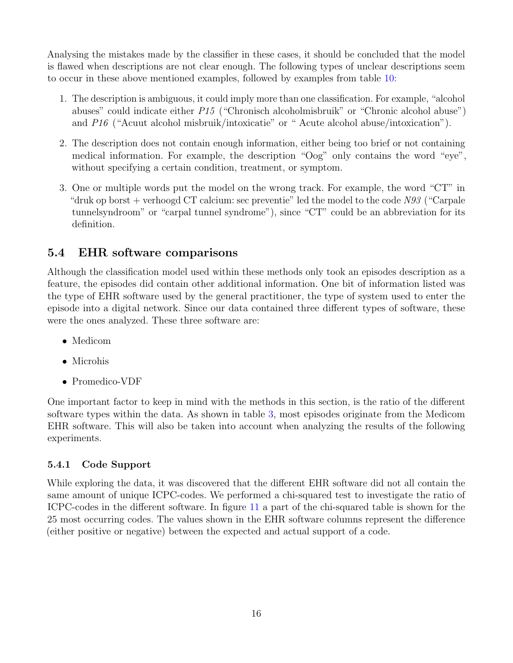Analysing the mistakes made by the classifier in these cases, it should be concluded that the model is flawed when descriptions are not clear enough. The following types of unclear descriptions seem to occur in these above mentioned examples, followed by examples from table [10:](#page-17-1)

- 1. The description is ambiguous, it could imply more than one classification. For example, "alcohol abuses" could indicate either P15 ("Chronisch alcoholmisbruik" or "Chronic alcohol abuse") and P16 ("Acuut alcohol misbruik/intoxicatie" or " Acute alcohol abuse/intoxication").
- 2. The description does not contain enough information, either being too brief or not containing medical information. For example, the description "Oog" only contains the word "eye", without specifying a certain condition, treatment, or symptom.
- 3. One or multiple words put the model on the wrong track. For example, the word "CT" in "druk op borst + verhoogd CT calcium: sec preventie" led the model to the code  $N93$  ("Carpale" tunnelsyndroom" or "carpal tunnel syndrome"), since "CT" could be an abbreviation for its definition.

## <span id="page-18-0"></span>5.4 EHR software comparisons

Although the classification model used within these methods only took an episodes description as a feature, the episodes did contain other additional information. One bit of information listed was the type of EHR software used by the general practitioner, the type of system used to enter the episode into a digital network. Since our data contained three different types of software, these were the ones analyzed. These three software are:

- Medicom
- Microhis
- Promedico-VDF

One important factor to keep in mind with the methods in this section, is the ratio of the different software types within the data. As shown in table [3,](#page-9-2) most episodes originate from the Medicom EHR software. This will also be taken into account when analyzing the results of the following experiments.

#### <span id="page-18-1"></span>5.4.1 Code Support

While exploring the data, it was discovered that the different EHR software did not all contain the same amount of unique ICPC-codes. We performed a chi-squared test to investigate the ratio of ICPC-codes in the different software. In figure [11](#page-19-0) a part of the chi-squared table is shown for the 25 most occurring codes. The values shown in the EHR software columns represent the difference (either positive or negative) between the expected and actual support of a code.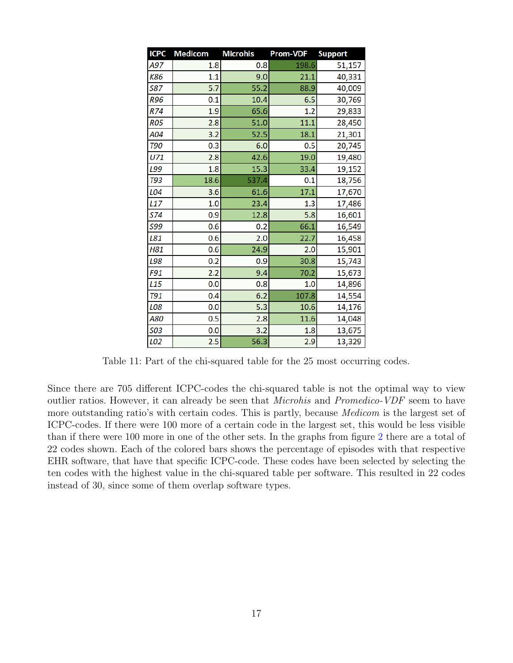<span id="page-19-0"></span>

| <b>ICPC</b>     | <b>Medicom</b> | <b>Microhis</b> | <b>Prom-VDF</b> | <b>Support</b> |
|-----------------|----------------|-----------------|-----------------|----------------|
| A97             | 1.8            | 0.8             | 198.6           | 51,157         |
| K86             | 1.1            | 9.0             | 21.1            | 40,331         |
| <b>S87</b>      | 5.7            | 55.2            | 88.9            | 40,009         |
| <b>R96</b>      | 0.1            | 10.4            | 6.5             | 30,769         |
| R74             | 1.9            | 65.6            | 1.2             | 29,833         |
| <b>RO5</b>      | 2.8            | 51.0            | 11.1            | 28,450         |
| A04             | 3.2            | 52.5            | 18.1            | 21,301         |
| <b>T90</b>      | 0.3            | 6.0             | 0.5             | 20,745         |
| U71             | 2.8            | 42.6            | 19.0            | 19,480         |
| L99             | 1.8            | 15.3            | 33.4            | 19,152         |
| <b>T93</b>      | 18.6           | 537.4           | 0.1             | 18,756         |
| L04             | 3.6            | 61.6            | 17.1            | 17,670         |
| L <sub>17</sub> | 1.0            | 23.4            | 1.3             | 17,486         |
| <b>S74</b>      | 0.9            | 12.8            | 5.8             | 16,601         |
| 599             | 0.6            | 0.2             | 66.1            | 16,549         |
| L81             | 0.6            | 2.0             | 22.7            | 16,458         |
| H81             | 0.6            | 24.9            | 2.0             | 15,901         |
| L98             | 0.2            | 0.9             | 30.8            | 15,743         |
| F91             | 2.2            | 9.4             | 70.2            | 15,673         |
| L <sub>15</sub> | 0.0            | 0.8             | 1.0             | 14,896         |
| <b>T91</b>      | 0.4            | 6.2             | 107.8           | 14,554         |
| L08             | 0.0            | 5.3             | 10.6            | 14,176         |
| A80             | 0.5            | 2.8             | 11.6            | 14,048         |
| 503             | 0.0            | 3.2             | 1.8             | 13,675         |
| L02             | 2.5            | 56.3            | 2.9             | 13,329         |

Table 11: Part of the chi-squared table for the 25 most occurring codes.

Since there are 705 different ICPC-codes the chi-squared table is not the optimal way to view outlier ratios. However, it can already be seen that Microhis and Promedico-VDF seem to have more outstanding ratio's with certain codes. This is partly, because *Medicom* is the largest set of ICPC-codes. If there were 100 more of a certain code in the largest set, this would be less visible than if there were 100 more in one of the other sets. In the graphs from figure [2](#page-20-1) there are a total of 22 codes shown. Each of the colored bars shows the percentage of episodes with that respective EHR software, that have that specific ICPC-code. These codes have been selected by selecting the ten codes with the highest value in the chi-squared table per software. This resulted in 22 codes instead of 30, since some of them overlap software types.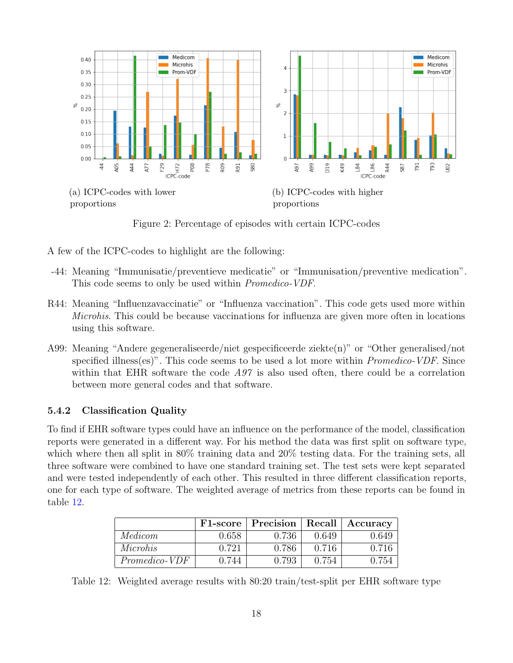<span id="page-20-1"></span>

Figure 2: Percentage of episodes with certain ICPC-codes

A few of the ICPC-codes to highlight are the following:

- -44: Meaning "Immunisatie/preventieve medicatie" or "Immunisation/preventive medication". This code seems to only be used within *Promedico-VDF*.
- R44: Meaning "Influenzavaccinatie" or "Influenza vaccination". This code gets used more within Microhis. This could be because vaccinations for influenza are given more often in locations using this software.
- A99: Meaning "Andere gegeneraliseerde/niet gespecificeerde ziekte(n)" or "Other generalised/not specified illness(es)". This code seems to be used a lot more within *Promedico-VDF*. Since within that EHR software the code  $A97$  is also used often, there could be a correlation between more general codes and that software.

#### <span id="page-20-0"></span>5.4.2 Classification Quality

To find if EHR software types could have an influence on the performance of the model, classification reports were generated in a different way. For his method the data was first split on software type, which where then all split in 80% training data and 20% testing data. For the training sets, all three software were combined to have one standard training set. The test sets were kept separated and were tested independently of each other. This resulted in three different classification reports, one for each type of software. The weighted average of metrics from these reports can be found in table [12.](#page-20-2)

<span id="page-20-2"></span>

|                      |       | F1-score   Precision   Recall |       | $\vert$ Accuracy |
|----------------------|-------|-------------------------------|-------|------------------|
| Medicom              | 0.658 | 0.736                         | 0.649 | 0.649            |
| Microhis             | 0.721 | 0.786                         | 0.716 | 0.716            |
| <i>Promedico-VDF</i> | 0.744 | 0.793                         | 0.754 | 0.754            |

Table 12: Weighted average results with 80:20 train/test-split per EHR software type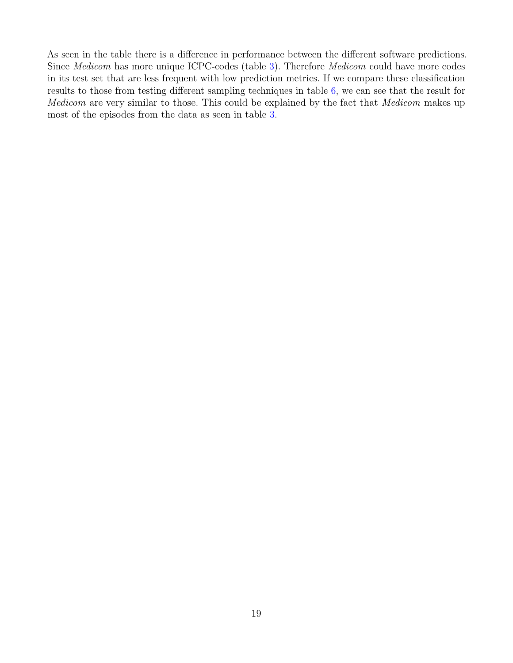As seen in the table there is a difference in performance between the different software predictions. Since Medicom has more unique ICPC-codes (table [3\)](#page-9-2). Therefore Medicom could have more codes in its test set that are less frequent with low prediction metrics. If we compare these classification results to those from testing different sampling techniques in table [6,](#page-14-1) we can see that the result for Medicom are very similar to those. This could be explained by the fact that Medicom makes up most of the episodes from the data as seen in table [3.](#page-9-2)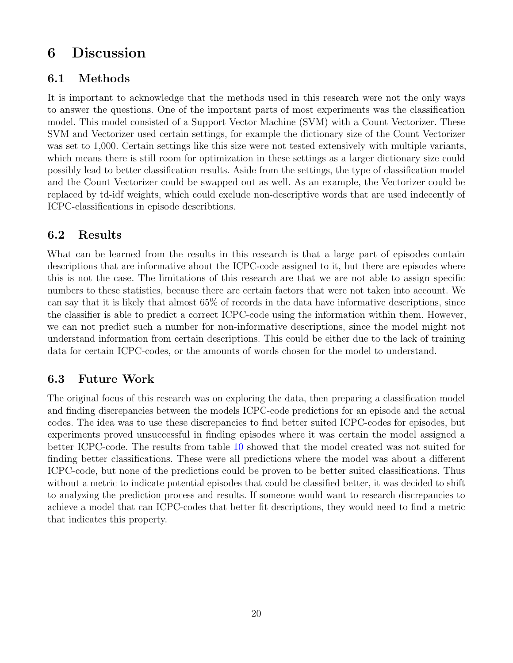# <span id="page-22-0"></span>6 Discussion

### <span id="page-22-1"></span>6.1 Methods

It is important to acknowledge that the methods used in this research were not the only ways to answer the questions. One of the important parts of most experiments was the classification model. This model consisted of a Support Vector Machine (SVM) with a Count Vectorizer. These SVM and Vectorizer used certain settings, for example the dictionary size of the Count Vectorizer was set to 1,000. Certain settings like this size were not tested extensively with multiple variants, which means there is still room for optimization in these settings as a larger dictionary size could possibly lead to better classification results. Aside from the settings, the type of classification model and the Count Vectorizer could be swapped out as well. As an example, the Vectorizer could be replaced by td-idf weights, which could exclude non-descriptive words that are used indecently of ICPC-classifications in episode describtions.

### <span id="page-22-2"></span>6.2 Results

What can be learned from the results in this research is that a large part of episodes contain descriptions that are informative about the ICPC-code assigned to it, but there are episodes where this is not the case. The limitations of this research are that we are not able to assign specific numbers to these statistics, because there are certain factors that were not taken into account. We can say that it is likely that almost 65% of records in the data have informative descriptions, since the classifier is able to predict a correct ICPC-code using the information within them. However, we can not predict such a number for non-informative descriptions, since the model might not understand information from certain descriptions. This could be either due to the lack of training data for certain ICPC-codes, or the amounts of words chosen for the model to understand.

## <span id="page-22-3"></span>6.3 Future Work

The original focus of this research was on exploring the data, then preparing a classification model and finding discrepancies between the models ICPC-code predictions for an episode and the actual codes. The idea was to use these discrepancies to find better suited ICPC-codes for episodes, but experiments proved unsuccessful in finding episodes where it was certain the model assigned a better ICPC-code. The results from table [10](#page-17-1) showed that the model created was not suited for finding better classifications. These were all predictions where the model was about a different ICPC-code, but none of the predictions could be proven to be better suited classifications. Thus without a metric to indicate potential episodes that could be classified better, it was decided to shift to analyzing the prediction process and results. If someone would want to research discrepancies to achieve a model that can ICPC-codes that better fit descriptions, they would need to find a metric that indicates this property.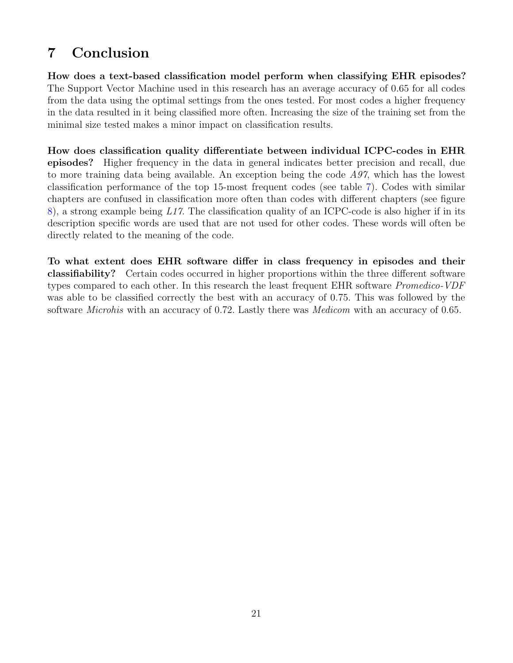# <span id="page-23-0"></span>7 Conclusion

How does a text-based classification model perform when classifying EHR episodes? The Support Vector Machine used in this research has an average accuracy of 0.65 for all codes from the data using the optimal settings from the ones tested. For most codes a higher frequency in the data resulted in it being classified more often. Increasing the size of the training set from the minimal size tested makes a minor impact on classification results.

How does classification quality differentiate between individual ICPC-codes in EHR episodes? Higher frequency in the data in general indicates better precision and recall, due to more training data being available. An exception being the code  $A97$ , which has the lowest classification performance of the top 15-most frequent codes (see table [7\)](#page-14-2). Codes with similar chapters are confused in classification more often than codes with different chapters (see figure [8\)](#page-15-2), a strong example being L17. The classification quality of an ICPC-code is also higher if in its description specific words are used that are not used for other codes. These words will often be directly related to the meaning of the code.

To what extent does EHR software differ in class frequency in episodes and their classifiability? Certain codes occurred in higher proportions within the three different software types compared to each other. In this research the least frequent EHR software *Promedico-VDF* was able to be classified correctly the best with an accuracy of 0.75. This was followed by the software *Microhis* with an accuracy of 0.72. Lastly there was *Medicom* with an accuracy of 0.65.